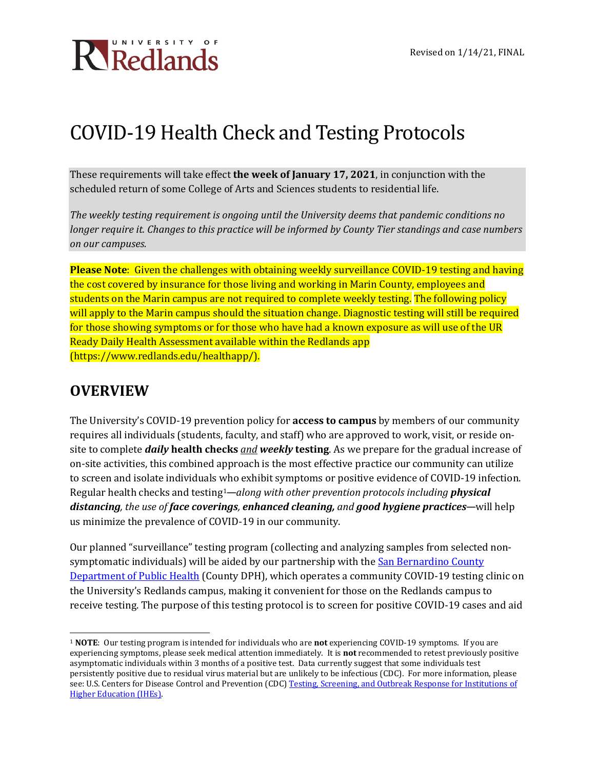

### COVID-19 Health Check and Testing Protocols

These requirements will take effect **the week of January 17, 2021**, in conjunction with the scheduled return of some College of Arts and Sciences students to residential life.

*The weekly testing requirement is ongoing until the University deems that pandemic conditions no longer require it. Changes to this practice will be informed by County Tier standings and case numbers on our campuses.*

**Please Note**: Given the challenges with obtaining weekly surveillance COVID-19 testing and having the cost covered by insurance for those living and working in Marin County, employees and students on the Marin campus are not required to complete weekly testing. The following policy will apply to the Marin campus should the situation change. Diagnostic testing will still be required for those showing symptoms or for those who have had a known exposure as will use of the UR Ready Daily Health Assessment available within the Redlands app (https://www.redlands.edu/healthapp/).

### **OVERVIEW**

The University's COVID-19 prevention policy for **access to campus** by members of our community requires all individuals (students, faculty, and staff) who are approved to work, visit, or reside onsite to complete *daily* **health checks** *and weekly* **testing**. As we prepare for the gradual increase of on-site activities, this combined approach is the most effective practice our community can utilize to screen and isolate individuals who exhibit symptoms or positive evidence of COVID-19 infection. Regular health checks and testing[1](#page-0-0)—*along with other prevention protocols including physical distancing, the use of face coverings, enhanced cleaning, and good hygiene practices*—will help us minimize the prevalence of COVID-19 in our community.

Our planned "surveillance" testing program (collecting and analyzing samples from selected nonsymptomatic individuals) will be aided by our partnership with the San Bernardino County [Department of Public Health](https://wp.sbcounty.gov/dph/) (County DPH), which operates a community COVID-19 testing clinic on the University's Redlands campus, making it convenient for those on the Redlands campus to receive testing. The purpose of this testing protocol is to screen for positive COVID-19 cases and aid

<span id="page-0-0"></span><sup>1</sup> **NOTE**: Our testing program is intended for individuals who are **not** experiencing COVID-19 symptoms. If you are experiencing symptoms, please seek medical attention immediately. It is **not** recommended to retest previously positive asymptomatic individuals within 3 months of a positive test. Data currently suggest that some individuals test persistently positive due to residual virus material but are unlikely to be infectious (CDC). For more information, please see: U.S. Centers for Disease Control and Prevention (CDC) Testing, Screening, and Outbreak Response for Institutions of [Higher Education \(IHEs\).](https://www.cdc.gov/coronavirus/2019-ncov/community/colleges-universities/ihe-testing.html)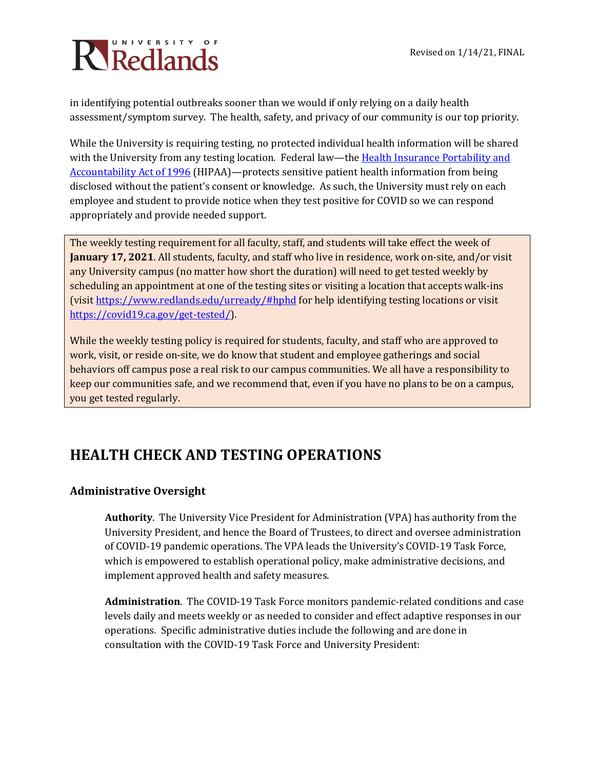# Ricedlands

in identifying potential outbreaks sooner than we would if only relying on a daily health assessment/symptom survey. The health, safety, and privacy of our community is our top priority.

While the University is requiring testing, no protected individual health information will be shared with the University from any testing location. Federal law—the Health Insurance Portability and [Accountability Act of 1996](https://www.hhs.gov/hipaa/index.html) (HIPAA)—protects sensitive patient health information from being disclosed without the patient's consent or knowledge. As such, the University must rely on each employee and student to provide notice when they test positive for COVID so we can respond appropriately and provide needed support.

The weekly testing requirement for all faculty, staff, and students will take effect the week of **January 17, 2021**. All students, faculty, and staff who live in residence, work on-site, and/or visit any University campus (no matter how short the duration) will need to get tested weekly by scheduling an appointment at one of the testing sites or visiting a location that accepts walk-ins (visi[t https://www.redlands.edu/urready/#hphd](https://www.redlands.edu/urready/#hphd) for help identifying testing locations or visit [https://covid19.ca.gov/get-tested/\)](https://covid19.ca.gov/get-tested/).

While the weekly testing policy is required for students, faculty, and staff who are approved to work, visit, or reside on-site, we do know that student and employee gatherings and social behaviors off campus pose a real risk to our campus communities. We all have a responsibility to keep our communities safe, and we recommend that, even if you have no plans to be on a campus, you get tested regularly.

### **HEALTH CHECK AND TESTING OPERATIONS**

### **Administrative Oversight**

**Authority**. The University Vice President for Administration (VPA) has authority from the University President, and hence the Board of Trustees, to direct and oversee administration of COVID-19 pandemic operations. The VPA leads the University's COVID-19 Task Force, which is empowered to establish operational policy, make administrative decisions, and implement approved health and safety measures.

**Administration**. The COVID-19 Task Force monitors pandemic-related conditions and case levels daily and meets weekly or as needed to consider and effect adaptive responses in our operations. Specific administrative duties include the following and are done in consultation with the COVID-19 Task Force and University President: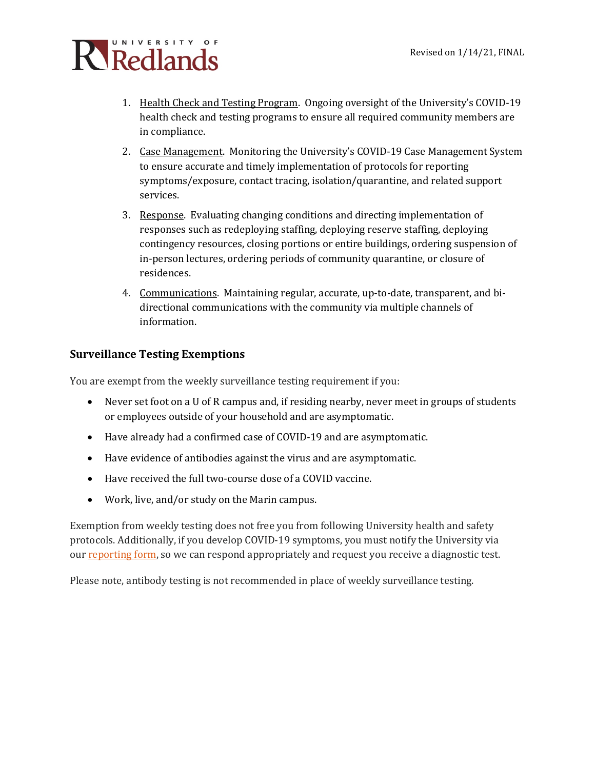

- 1. Health Check and Testing Program. Ongoing oversight of the University's COVID-19 health check and testing programs to ensure all required community members are in compliance.
- 2. Case Management. Monitoring the University's COVID-19 Case Management System to ensure accurate and timely implementation of protocols for reporting symptoms/exposure, contact tracing, isolation/quarantine, and related support services.
- 3. Response. Evaluating changing conditions and directing implementation of responses such as redeploying staffing, deploying reserve staffing, deploying contingency resources, closing portions or entire buildings, ordering suspension of in-person lectures, ordering periods of community quarantine, or closure of residences.
- 4. Communications. Maintaining regular, accurate, up-to-date, transparent, and bidirectional communications with the community via multiple channels of information.

### **Surveillance Testing Exemptions**

You are exempt from the weekly surveillance testing requirement if you:

- Never set foot on a U of R campus and, if residing nearby, never meet in groups of students or employees outside of your household and are asymptomatic.
- Have already had a confirmed case of COVID-19 and are asymptomatic.
- Have evidence of antibodies against the virus and are asymptomatic.
- Have received the full two-course dose of a COVID vaccine.
- Work, live, and/or study on the Marin campus.

Exemption from weekly testing does not free you from following University health and safety protocols. Additionally, if you develop COVID-19 symptoms, you must notify the University via our [reporting form,](https://nam10.safelinks.protection.outlook.com/?url=https%3A%2F%2Fcm.maxient.com%2Freportingform.php%3FUnivofRedlands%26layout_id%3D30&data=04%7C01%7Ckatie_olson%40redlands.edu%7Caa69eb51786a4a26193108d8a775b602%7C496b6d7d089e431889efd9fdf760aafd%7C0%7C0%7C637443472033459946%7CUnknown%7CTWFpbGZsb3d8eyJWIjoiMC4wLjAwMDAiLCJQIjoiV2luMzIiLCJBTiI6Ik1haWwiLCJXVCI6Mn0%3D%7C1000&sdata=j1Q1iksB%2BQcjYVjiq6oNJ0KdD7hKx4mjNvyUUxUF1fE%3D&reserved=0) so we can respond appropriately and request you receive a diagnostic test.

Please note, antibody testing is not recommended in place of weekly surveillance testing.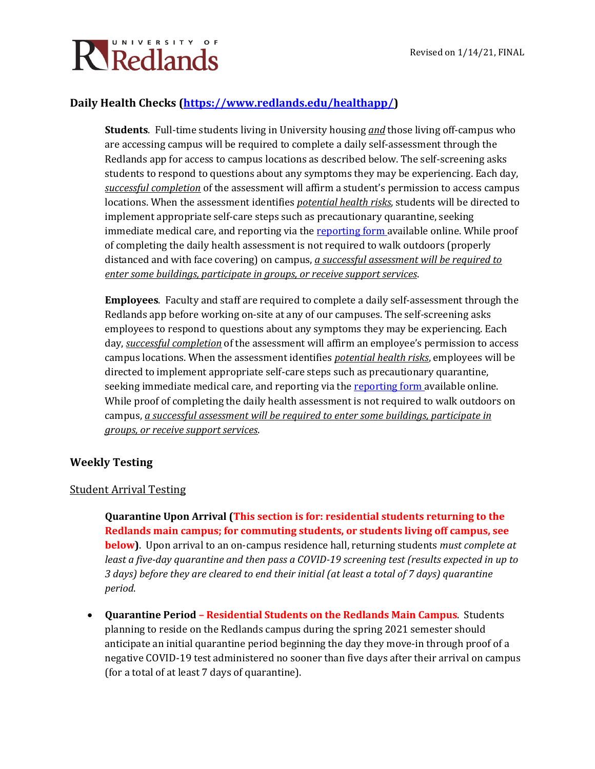

### **Daily Health Checks [\(https://www.redlands.edu/healthapp/\)](https://www.redlands.edu/healthapp/)**

**Students**. Full-time students living in University housing *and* those living off-campus who are accessing campus will be required to complete a daily self-assessment through the Redlands app for access to campus locations as described below. The self-screening asks students to respond to questions about any symptoms they may be experiencing. Each day, *successful completion* of the assessment will affirm a student's permission to access campus locations. When the assessment identifies *potential health risks*, students will be directed to implement appropriate self-care steps such as precautionary quarantine, seeking immediate medical care, and reporting via the [reporting form a](https://cm.maxient.com/reportingform.php?UnivofRedlands&layout_id=30)vailable online. While proof of completing the daily health assessment is not required to walk outdoors (properly distanced and with face covering) on campus, *a successful assessment will be required to enter some buildings, participate in groups, or receive support services*.

**Employees**. Faculty and staff are required to complete a daily self-assessment through the Redlands app before working on-site at any of our campuses. The self-screening asks employees to respond to questions about any symptoms they may be experiencing. Each day, *successful completion* of the assessment will affirm an employee's permission to access campus locations. When the assessment identifies *potential health risks*, employees will be directed to implement appropriate self-care steps such as precautionary quarantine, seeking immediate medical care, and reporting via th[e reporting form a](https://cm.maxient.com/reportingform.php?UnivofRedlands&layout_id=30)vailable online. While proof of completing the daily health assessment is not required to walk outdoors on campus, *a successful assessment will be required to enter some buildings, participate in groups, or receive support services*.

### **Weekly Testing**

### Student Arrival Testing

**Quarantine Upon Arrival (This section is for: residential students returning to the Redlands main campus; for commuting students, or students living off campus, see below)**. Upon arrival to an on-campus residence hall, returning students *must complete at least a five-day quarantine and then pass a COVID-19 screening test (results expected in up to 3 days) before they are cleared to end their initial (at least a total of 7 days) quarantine period*.

• **Quarantine Period – Residential Students on the Redlands Main Campus**. Students planning to reside on the Redlands campus during the spring 2021 semester should anticipate an initial quarantine period beginning the day they move-in through proof of a negative COVID-19 test administered no sooner than five days after their arrival on campus (for a total of at least 7 days of quarantine).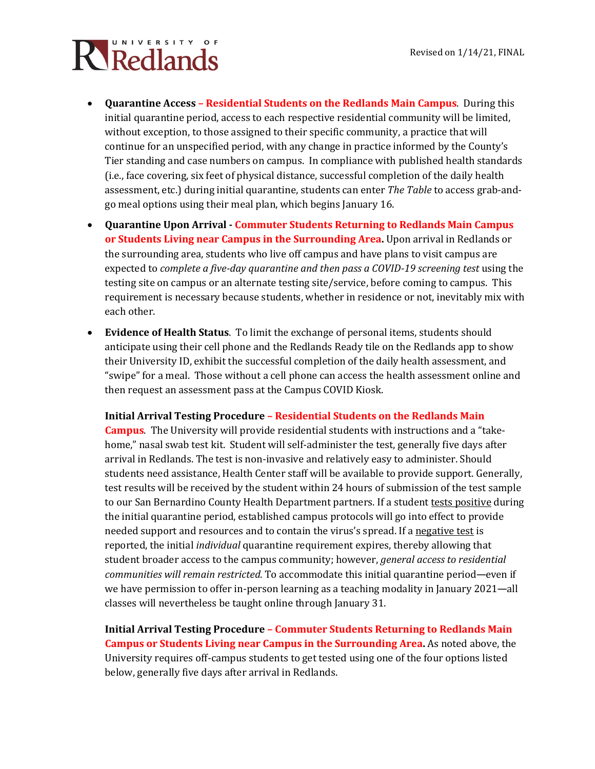# Ricalands

- **Quarantine Access – Residential Students on the Redlands Main Campus**. During this initial quarantine period, access to each respective residential community will be limited, without exception, to those assigned to their specific community, a practice that will continue for an unspecified period, with any change in practice informed by the County's Tier standing and case numbers on campus. In compliance with published health standards (i.e., face covering, six feet of physical distance, successful completion of the daily health assessment, etc.) during initial quarantine, students can enter *The Table* to access grab-andgo meal options using their meal plan, which begins January 16.
- **Quarantine Upon Arrival - Commuter Students Returning to Redlands Main Campus or Students Living near Campus in the Surrounding Area.** Upon arrival in Redlands or the surrounding area, students who live off campus and have plans to visit campus are expected to *complete a five-day quarantine and then pass a COVID-19 screening test* using the testing site on campus or an alternate testing site/service, before coming to campus. This requirement is necessary because students, whether in residence or not, inevitably mix with each other.
- **Evidence of Health Status**. To limit the exchange of personal items, students should anticipate using their cell phone and the Redlands Ready tile on the Redlands app to show their University ID, exhibit the successful completion of the daily health assessment, and "swipe" for a meal. Those without a cell phone can access the health assessment online and then request an assessment pass at the Campus COVID Kiosk.

#### **Initial Arrival Testing Procedure – Residential Students on the Redlands Main**

**Campus**. The University will provide residential students with instructions and a "takehome," nasal swab test kit. Student will self-administer the test, generally five days after arrival in Redlands. The test is non-invasive and relatively easy to administer. Should students need assistance, Health Center staff will be available to provide support. Generally, test results will be received by the student within 24 hours of submission of the test sample to our San Bernardino County Health Department partners. If a student tests positive during the initial quarantine period, established campus protocols will go into effect to provide needed support and resources and to contain the virus's spread. If a negative test is reported, the initial *individual* quarantine requirement expires, thereby allowing that student broader access to the campus community; however, *general access to residential communities will remain restricted.* To accommodate this initial quarantine period—even if we have permission to offer in-person learning as a teaching modality in January 2021—all classes will nevertheless be taught online through January 31.

**Initial Arrival Testing Procedure – Commuter Students Returning to Redlands Main Campus or Students Living near Campus in the Surrounding Area.** As noted above, the University requires off-campus students to get tested using one of the four options listed below, generally five days after arrival in Redlands.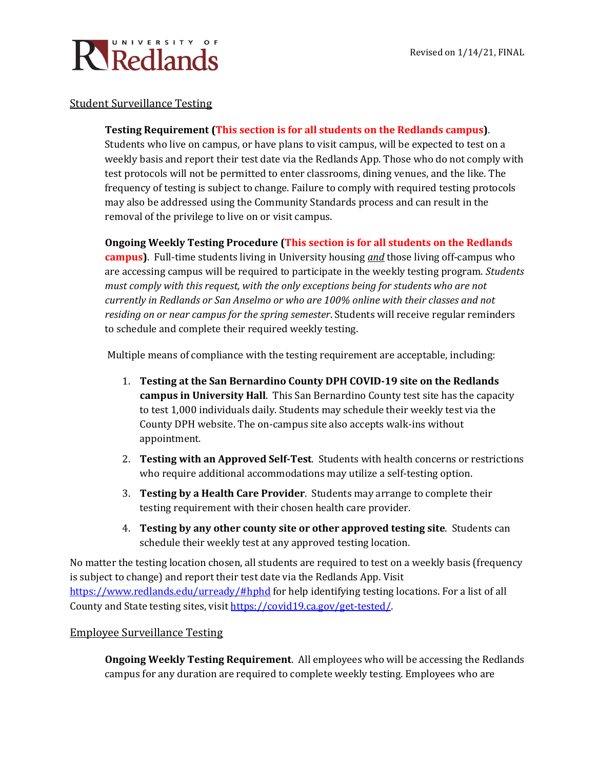

### Student Surveillance Testing

### **Testing Requirement (This section is for all students on the Redlands campus)**.

Students who live on campus, or have plans to visit campus, will be expected to test on a weekly basis and report their test date via the Redlands App. Those who do not comply with test protocols will not be permitted to enter classrooms, dining venues, and the like. The frequency of testing is subject to change. Failure to comply with required testing protocols may also be addressed using the Community Standards process and can result in the removal of the privilege to live on or visit campus.

### **Ongoing Weekly Testing Procedure (This section is for all students on the Redlands**

**campus)**. Full-time students living in University housing *and* those living off-campus who are accessing campus will be required to participate in the weekly testing program. *Students must comply with this request, with the only exceptions being for students who are not currently in Redlands or San Anselmo or who are 100% online with their classes and not residing on or near campus for the spring semester*. Students will receive regular reminders to schedule and complete their required weekly testing.

Multiple means of compliance with the testing requirement are acceptable, including:

- 1. **Testing at the San Bernardino County DPH COVID-19 site on the Redlands campus in University Hall**. This San Bernardino County test site has the capacity to test 1,000 individuals daily. Students may schedule their weekly test via the County DPH website. The on-campus site also accepts walk-ins without appointment.
- 2. **Testing with an Approved Self-Test**. Students with health concerns or restrictions who require additional accommodations may utilize a self-testing option.
- 3. **Testing by a Health Care Provider**. Students may arrange to complete their testing requirement with their chosen health care provider.
- 4. **Testing by any other county site or other approved testing site**. Students can schedule their weekly test at any approved testing location.

No matter the testing location chosen, all students are required to test on a weekly basis (frequency is subject to change) and report their test date via the Redlands App. Visit <https://www.redlands.edu/urready/#hphd> for help identifying testing locations. For a list of all County and State testing sites, visi[t https://covid19.ca.gov/get-tested/.](https://covid19.ca.gov/get-tested/) 

#### Employee Surveillance Testing

**Ongoing Weekly Testing Requirement**. All employees who will be accessing the Redlands campus for any duration are required to complete weekly testing. Employees who are